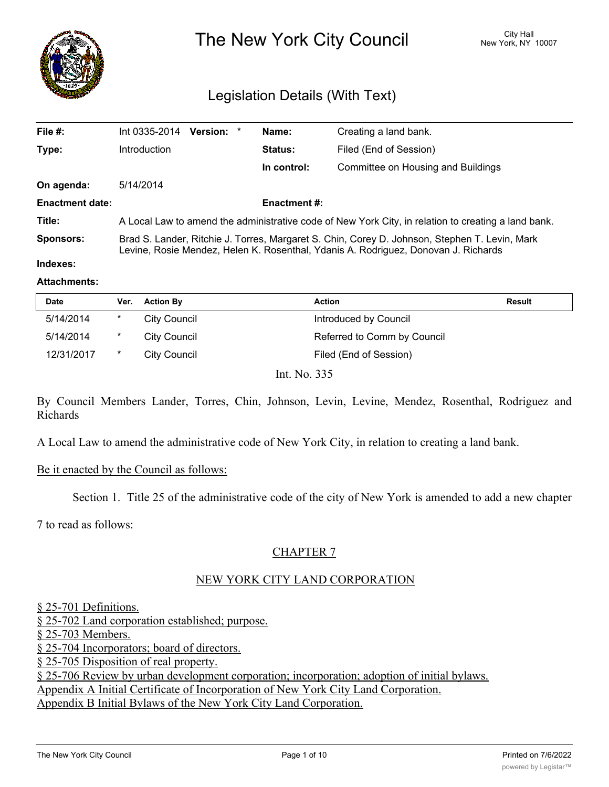

The New York City Council New York, NY 10007

# Legislation Details (With Text)

| File #:                | Int 0335-2014                                                                                                                                                                       | Version: * |  | Name:          | Creating a land bank.              |  |
|------------------------|-------------------------------------------------------------------------------------------------------------------------------------------------------------------------------------|------------|--|----------------|------------------------------------|--|
| Type:                  | Introduction                                                                                                                                                                        |            |  | <b>Status:</b> | Filed (End of Session)             |  |
|                        |                                                                                                                                                                                     |            |  | In control:    | Committee on Housing and Buildings |  |
| On agenda:             | 5/14/2014                                                                                                                                                                           |            |  |                |                                    |  |
| <b>Enactment date:</b> | <b>Enactment #:</b>                                                                                                                                                                 |            |  |                |                                    |  |
| Title:                 | A Local Law to amend the administrative code of New York City, in relation to creating a land bank.                                                                                 |            |  |                |                                    |  |
| <b>Sponsors:</b>       | Brad S. Lander, Ritchie J. Torres, Margaret S. Chin, Corey D. Johnson, Stephen T. Levin, Mark<br>Levine, Rosie Mendez, Helen K. Rosenthal, Ydanis A. Rodriguez, Donovan J. Richards |            |  |                |                                    |  |
| Indexes:               |                                                                                                                                                                                     |            |  |                |                                    |  |

#### **Attachments:**

| <b>Date</b> | Ver.    | <b>Action By</b>                   | Action                      | Result |
|-------------|---------|------------------------------------|-----------------------------|--------|
| 5/14/2014   | $\ast$  | City Council                       | Introduced by Council       |        |
| 5/14/2014   | $\star$ | City Council                       | Referred to Comm by Council |        |
| 12/31/2017  | *       | City Council                       | Filed (End of Session)      |        |
|             |         | $\sim$ $\sim$ $\sim$ $\sim$ $\sim$ |                             |        |

Int. No. 335

By Council Members Lander, Torres, Chin, Johnson, Levin, Levine, Mendez, Rosenthal, Rodriguez and Richards

A Local Law to amend the administrative code of New York City, in relation to creating a land bank.

#### Be it enacted by the Council as follows:

Section 1. Title 25 of the administrative code of the city of New York is amended to add a new chapter

7 to read as follows:

### CHAPTER 7

### NEW YORK CITY LAND CORPORATION

#### § 25-701 Definitions.

§ 25-702 Land corporation established; purpose.

§ 25-703 Members.

§ 25-704 Incorporators; board of directors.

§ 25-705 Disposition of real property.

§ 25-706 Review by urban development corporation; incorporation; adoption of initial bylaws.

Appendix A Initial Certificate of Incorporation of New York City Land Corporation.

Appendix B Initial Bylaws of the New York City Land Corporation.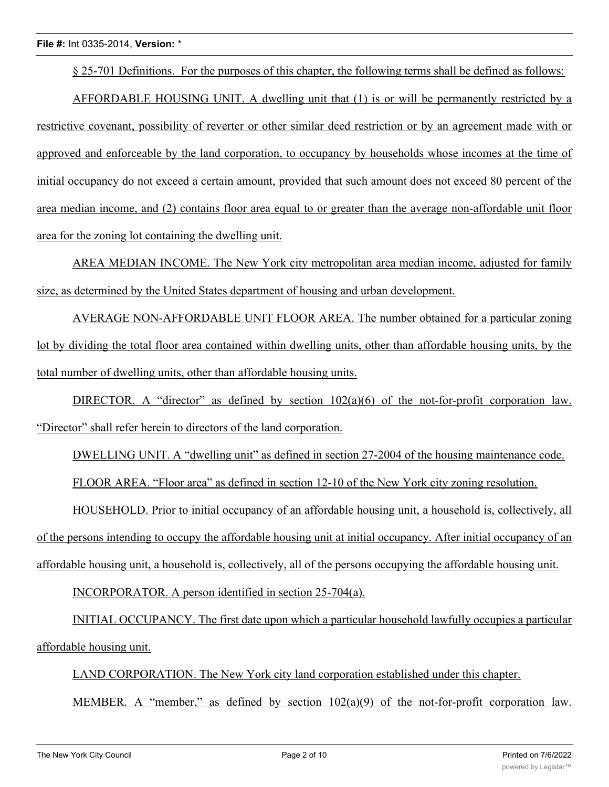§ 25-701 Definitions. For the purposes of this chapter, the following terms shall be defined as follows:

AFFORDABLE HOUSING UNIT. A dwelling unit that (1) is or will be permanently restricted by a restrictive covenant, possibility of reverter or other similar deed restriction or by an agreement made with or approved and enforceable by the land corporation, to occupancy by households whose incomes at the time of initial occupancy do not exceed a certain amount, provided that such amount does not exceed 80 percent of the area median income, and (2) contains floor area equal to or greater than the average non-affordable unit floor area for the zoning lot containing the dwelling unit.

AREA MEDIAN INCOME. The New York city metropolitan area median income, adjusted for family size, as determined by the United States department of housing and urban development.

AVERAGE NON-AFFORDABLE UNIT FLOOR AREA. The number obtained for a particular zoning lot by dividing the total floor area contained within dwelling units, other than affordable housing units, by the total number of dwelling units, other than affordable housing units.

DIRECTOR. A "director" as defined by section  $102(a)(6)$  of the not-for-profit corporation law. "Director" shall refer herein to directors of the land corporation.

DWELLING UNIT. A "dwelling unit" as defined in section 27-2004 of the housing maintenance code.

FLOOR AREA. "Floor area" as defined in section 12-10 of the New York city zoning resolution.

HOUSEHOLD. Prior to initial occupancy of an affordable housing unit, a household is, collectively, all of the persons intending to occupy the affordable housing unit at initial occupancy. After initial occupancy of an affordable housing unit, a household is, collectively, all of the persons occupying the affordable housing unit.

INCORPORATOR. A person identified in section 25-704(a).

INITIAL OCCUPANCY. The first date upon which a particular household lawfully occupies a particular affordable housing unit.

LAND CORPORATION. The New York city land corporation established under this chapter.

MEMBER. A "member," as defined by section 102(a)(9) of the not-for-profit corporation law.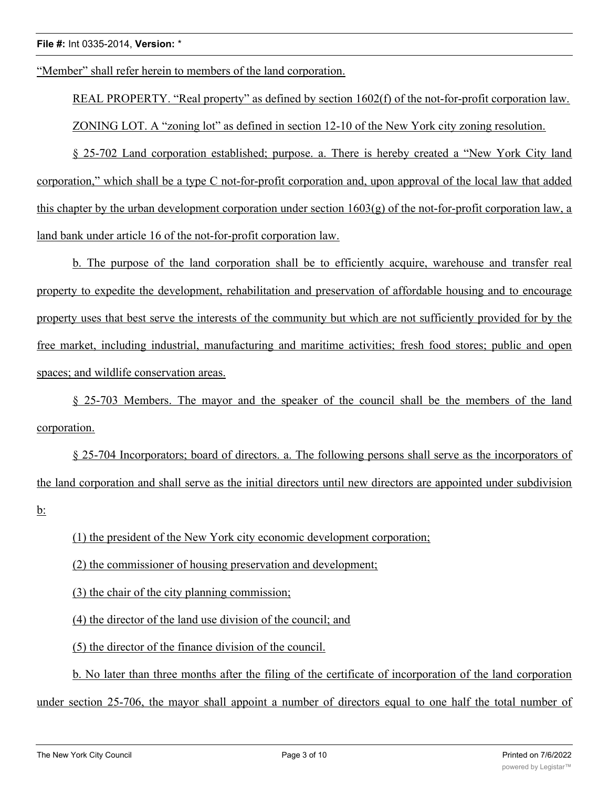"Member" shall refer herein to members of the land corporation.

REAL PROPERTY. "Real property" as defined by section 1602(f) of the not-for-profit corporation law. ZONING LOT. A "zoning lot" as defined in section 12-10 of the New York city zoning resolution.

§ 25-702 Land corporation established; purpose. a. There is hereby created a "New York City land corporation," which shall be a type C not-for-profit corporation and, upon approval of the local law that added this chapter by the urban development corporation under section  $1603(g)$  of the not-for-profit corporation law, a land bank under article 16 of the not-for-profit corporation law.

b. The purpose of the land corporation shall be to efficiently acquire, warehouse and transfer real property to expedite the development, rehabilitation and preservation of affordable housing and to encourage property uses that best serve the interests of the community but which are not sufficiently provided for by the free market, including industrial, manufacturing and maritime activities; fresh food stores; public and open spaces; and wildlife conservation areas.

§ 25-703 Members. The mayor and the speaker of the council shall be the members of the land corporation.

§ 25-704 Incorporators; board of directors. a. The following persons shall serve as the incorporators of the land corporation and shall serve as the initial directors until new directors are appointed under subdivision b:

(1) the president of the New York city economic development corporation;

(2) the commissioner of housing preservation and development;

(3) the chair of the city planning commission;

(4) the director of the land use division of the council; and

(5) the director of the finance division of the council.

b. No later than three months after the filing of the certificate of incorporation of the land corporation under section 25-706, the mayor shall appoint a number of directors equal to one half the total number of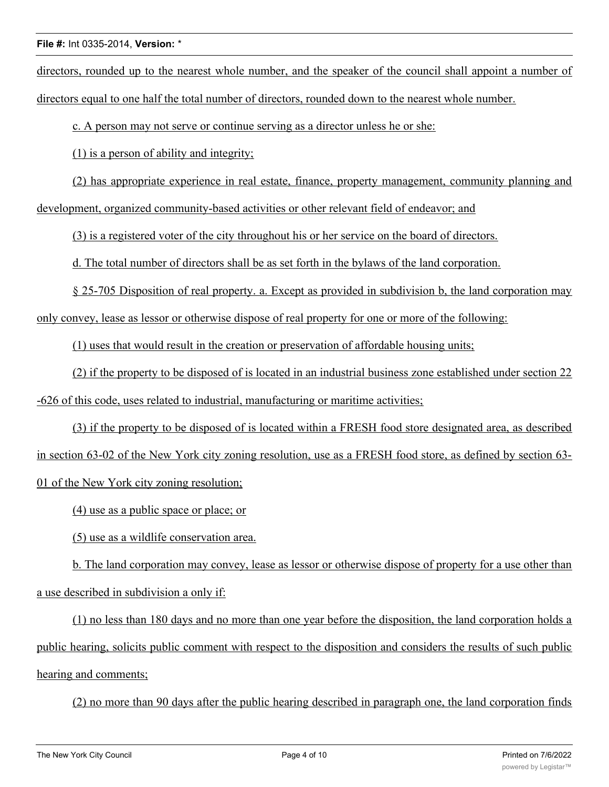directors, rounded up to the nearest whole number, and the speaker of the council shall appoint a number of directors equal to one half the total number of directors, rounded down to the nearest whole number.

c. A person may not serve or continue serving as a director unless he or she:

(1) is a person of ability and integrity;

(2) has appropriate experience in real estate, finance, property management, community planning and development, organized community-based activities or other relevant field of endeavor; and

(3) is a registered voter of the city throughout his or her service on the board of directors.

d. The total number of directors shall be as set forth in the bylaws of the land corporation.

§ 25-705 Disposition of real property. a. Except as provided in subdivision b, the land corporation may

only convey, lease as lessor or otherwise dispose of real property for one or more of the following:

(1) uses that would result in the creation or preservation of affordable housing units;

(2) if the property to be disposed of is located in an industrial business zone established under section 22 -626 of this code, uses related to industrial, manufacturing or maritime activities;

(3) if the property to be disposed of is located within a FRESH food store designated area, as described in section 63-02 of the New York city zoning resolution, use as a FRESH food store, as defined by section 63- 01 of the New York city zoning resolution;

(4) use as a public space or place; or

(5) use as a wildlife conservation area.

b. The land corporation may convey, lease as lessor or otherwise dispose of property for a use other than a use described in subdivision a only if:

(1) no less than 180 days and no more than one year before the disposition, the land corporation holds a public hearing, solicits public comment with respect to the disposition and considers the results of such public hearing and comments;

(2) no more than 90 days after the public hearing described in paragraph one, the land corporation finds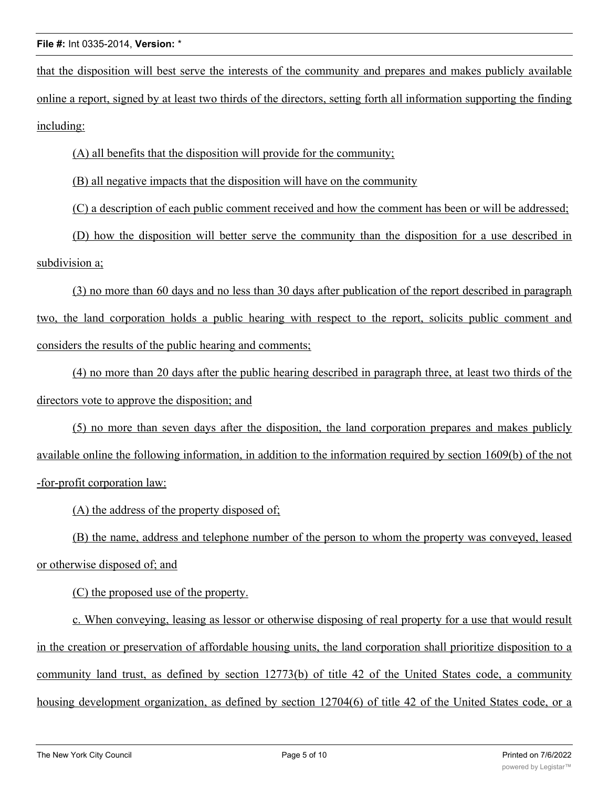that the disposition will best serve the interests of the community and prepares and makes publicly available online a report, signed by at least two thirds of the directors, setting forth all information supporting the finding including:

(A) all benefits that the disposition will provide for the community;

(B) all negative impacts that the disposition will have on the community

(C) a description of each public comment received and how the comment has been or will be addressed;

(D) how the disposition will better serve the community than the disposition for a use described in subdivision a;

(3) no more than 60 days and no less than 30 days after publication of the report described in paragraph two, the land corporation holds a public hearing with respect to the report, solicits public comment and considers the results of the public hearing and comments;

(4) no more than 20 days after the public hearing described in paragraph three, at least two thirds of the directors vote to approve the disposition; and

(5) no more than seven days after the disposition, the land corporation prepares and makes publicly available online the following information, in addition to the information required by section 1609(b) of the not -for-profit corporation law:

(A) the address of the property disposed of;

(B) the name, address and telephone number of the person to whom the property was conveyed, leased or otherwise disposed of; and

(C) the proposed use of the property.

c. When conveying, leasing as lessor or otherwise disposing of real property for a use that would result in the creation or preservation of affordable housing units, the land corporation shall prioritize disposition to a community land trust, as defined by section 12773(b) of title 42 of the United States code, a community housing development organization, as defined by section 12704(6) of title 42 of the United States code, or a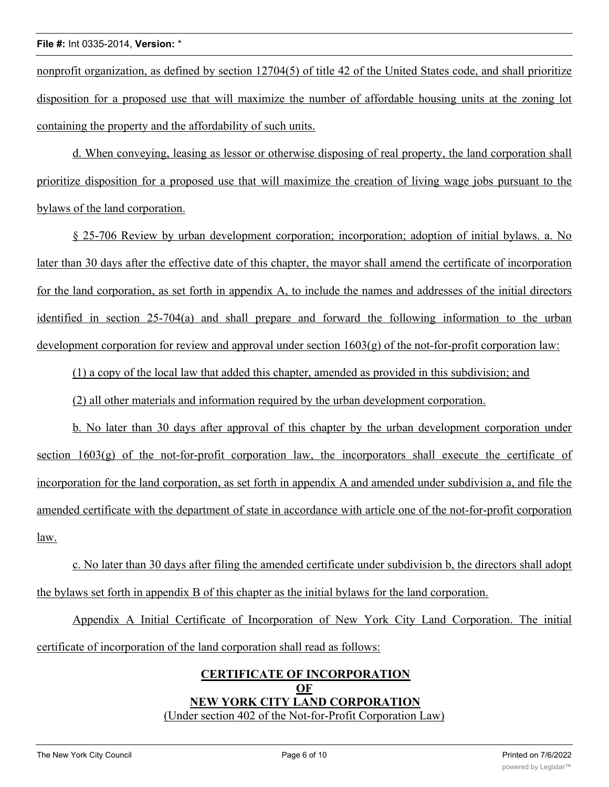nonprofit organization, as defined by section 12704(5) of title 42 of the United States code, and shall prioritize disposition for a proposed use that will maximize the number of affordable housing units at the zoning lot containing the property and the affordability of such units.

d. When conveying, leasing as lessor or otherwise disposing of real property, the land corporation shall prioritize disposition for a proposed use that will maximize the creation of living wage jobs pursuant to the bylaws of the land corporation.

§ 25-706 Review by urban development corporation; incorporation; adoption of initial bylaws. a. No later than 30 days after the effective date of this chapter, the mayor shall amend the certificate of incorporation for the land corporation, as set forth in appendix A, to include the names and addresses of the initial directors identified in section 25-704(a) and shall prepare and forward the following information to the urban development corporation for review and approval under section 1603(g) of the not-for-profit corporation law:

(1) a copy of the local law that added this chapter, amended as provided in this subdivision; and

(2) all other materials and information required by the urban development corporation.

b. No later than 30 days after approval of this chapter by the urban development corporation under section  $1603(g)$  of the not-for-profit corporation law, the incorporators shall execute the certificate of incorporation for the land corporation, as set forth in appendix A and amended under subdivision a, and file the amended certificate with the department of state in accordance with article one of the not-for-profit corporation law.

c. No later than 30 days after filing the amended certificate under subdivision b, the directors shall adopt the bylaws set forth in appendix B of this chapter as the initial bylaws for the land corporation.

Appendix A Initial Certificate of Incorporation of New York City Land Corporation. The initial certificate of incorporation of the land corporation shall read as follows:

### **CERTIFICATE OF INCORPORATION OF NEW YORK CITY LAND CORPORATION** (Under section 402 of the Not-for-Profit Corporation Law)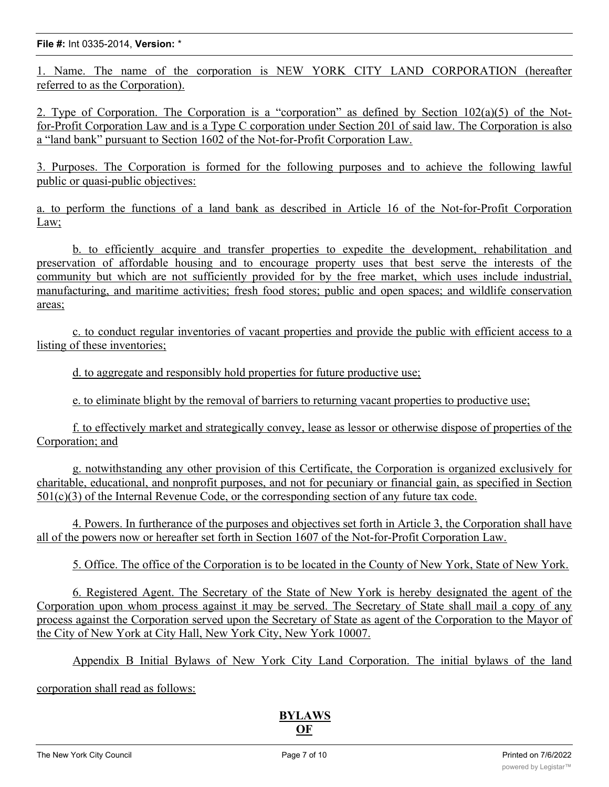#### **File #:** Int 0335-2014, **Version:** \*

1. Name. The name of the corporation is NEW YORK CITY LAND CORPORATION (hereafter referred to as the Corporation).

2. Type of Corporation. The Corporation is a "corporation" as defined by Section  $102(a)(5)$  of the Notfor-Profit Corporation Law and is a Type C corporation under Section 201 of said law. The Corporation is also a "land bank" pursuant to Section 1602 of the Not-for-Profit Corporation Law.

3. Purposes. The Corporation is formed for the following purposes and to achieve the following lawful public or quasi-public objectives:

a. to perform the functions of a land bank as described in Article 16 of the Not-for-Profit Corporation Law;

b. to efficiently acquire and transfer properties to expedite the development, rehabilitation and preservation of affordable housing and to encourage property uses that best serve the interests of the community but which are not sufficiently provided for by the free market, which uses include industrial, manufacturing, and maritime activities; fresh food stores; public and open spaces; and wildlife conservation areas;

c. to conduct regular inventories of vacant properties and provide the public with efficient access to a listing of these inventories;

d. to aggregate and responsibly hold properties for future productive use;

e. to eliminate blight by the removal of barriers to returning vacant properties to productive use;

f. to effectively market and strategically convey, lease as lessor or otherwise dispose of properties of the Corporation; and

g. notwithstanding any other provision of this Certificate, the Corporation is organized exclusively for charitable, educational, and nonprofit purposes, and not for pecuniary or financial gain, as specified in Section  $501(c)(3)$  of the Internal Revenue Code, or the corresponding section of any future tax code.

4. Powers. In furtherance of the purposes and objectives set forth in Article 3, the Corporation shall have all of the powers now or hereafter set forth in Section 1607 of the Not-for-Profit Corporation Law.

5. Office. The office of the Corporation is to be located in the County of New York, State of New York.

6. Registered Agent. The Secretary of the State of New York is hereby designated the agent of the Corporation upon whom process against it may be served. The Secretary of State shall mail a copy of any process against the Corporation served upon the Secretary of State as agent of the Corporation to the Mayor of the City of New York at City Hall, New York City, New York 10007.

Appendix B Initial Bylaws of New York City Land Corporation. The initial bylaws of the land

corporation shall read as follows: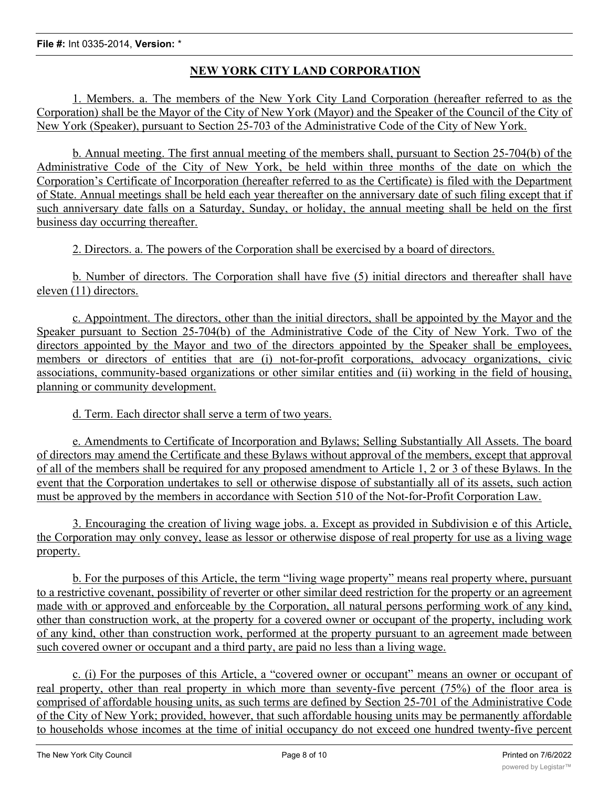## **NEW YORK CITY LAND CORPORATION**

1. Members. a. The members of the New York City Land Corporation (hereafter referred to as the Corporation) shall be the Mayor of the City of New York (Mayor) and the Speaker of the Council of the City of New York (Speaker), pursuant to Section 25-703 of the Administrative Code of the City of New York.

b. Annual meeting. The first annual meeting of the members shall, pursuant to Section 25-704(b) of the Administrative Code of the City of New York, be held within three months of the date on which the Corporation's Certificate of Incorporation (hereafter referred to as the Certificate) is filed with the Department of State. Annual meetings shall be held each year thereafter on the anniversary date of such filing except that if such anniversary date falls on a Saturday, Sunday, or holiday, the annual meeting shall be held on the first business day occurring thereafter.

2. Directors. a. The powers of the Corporation shall be exercised by a board of directors.

b. Number of directors. The Corporation shall have five (5) initial directors and thereafter shall have eleven (11) directors.

c. Appointment. The directors, other than the initial directors, shall be appointed by the Mayor and the Speaker pursuant to Section 25-704(b) of the Administrative Code of the City of New York. Two of the directors appointed by the Mayor and two of the directors appointed by the Speaker shall be employees, members or directors of entities that are (i) not-for-profit corporations, advocacy organizations, civic associations, community-based organizations or other similar entities and (ii) working in the field of housing, planning or community development.

d. Term. Each director shall serve a term of two years.

e. Amendments to Certificate of Incorporation and Bylaws; Selling Substantially All Assets. The board of directors may amend the Certificate and these Bylaws without approval of the members, except that approval of all of the members shall be required for any proposed amendment to Article 1, 2 or 3 of these Bylaws. In the event that the Corporation undertakes to sell or otherwise dispose of substantially all of its assets, such action must be approved by the members in accordance with Section 510 of the Not-for-Profit Corporation Law.

3. Encouraging the creation of living wage jobs. a. Except as provided in Subdivision e of this Article, the Corporation may only convey, lease as lessor or otherwise dispose of real property for use as a living wage property.

b. For the purposes of this Article, the term "living wage property" means real property where, pursuant to a restrictive covenant, possibility of reverter or other similar deed restriction for the property or an agreement made with or approved and enforceable by the Corporation, all natural persons performing work of any kind, other than construction work, at the property for a covered owner or occupant of the property, including work of any kind, other than construction work, performed at the property pursuant to an agreement made between such covered owner or occupant and a third party, are paid no less than a living wage.

c. (i) For the purposes of this Article, a "covered owner or occupant" means an owner or occupant of real property, other than real property in which more than seventy-five percent (75%) of the floor area is comprised of affordable housing units, as such terms are defined by Section 25-701 of the Administrative Code of the City of New York; provided, however, that such affordable housing units may be permanently affordable to households whose incomes at the time of initial occupancy do not exceed one hundred twenty-five percent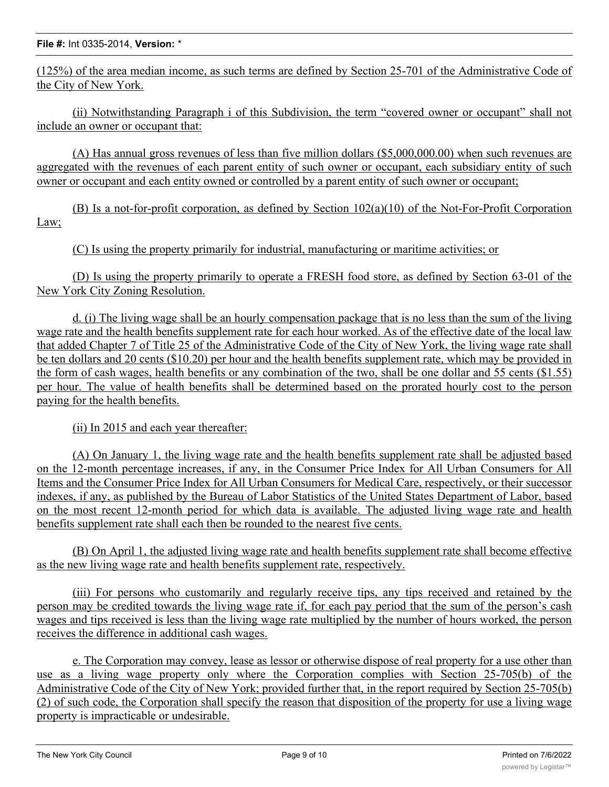(125%) of the area median income, as such terms are defined by Section 25-701 of the Administrative Code of the City of New York.

(ii) Notwithstanding Paragraph i of this Subdivision, the term "covered owner or occupant" shall not include an owner or occupant that:

(A) Has annual gross revenues of less than five million dollars (\$5,000,000.00) when such revenues are aggregated with the revenues of each parent entity of such owner or occupant, each subsidiary entity of such owner or occupant and each entity owned or controlled by a parent entity of such owner or occupant;

(B) Is a not-for-profit corporation, as defined by Section 102(a)(10) of the Not-For-Profit Corporation Law;

(C) Is using the property primarily for industrial, manufacturing or maritime activities; or

(D) Is using the property primarily to operate a FRESH food store, as defined by Section 63-01 of the New York City Zoning Resolution.

d. (i) The living wage shall be an hourly compensation package that is no less than the sum of the living wage rate and the health benefits supplement rate for each hour worked. As of the effective date of the local law that added Chapter 7 of Title 25 of the Administrative Code of the City of New York, the living wage rate shall be ten dollars and 20 cents (\$10.20) per hour and the health benefits supplement rate, which may be provided in the form of cash wages, health benefits or any combination of the two, shall be one dollar and 55 cents (\$1.55) per hour. The value of health benefits shall be determined based on the prorated hourly cost to the person paying for the health benefits.

(ii) In 2015 and each year thereafter:

(A) On January 1, the living wage rate and the health benefits supplement rate shall be adjusted based on the 12-month percentage increases, if any, in the Consumer Price Index for All Urban Consumers for All Items and the Consumer Price Index for All Urban Consumers for Medical Care, respectively, or their successor indexes, if any, as published by the Bureau of Labor Statistics of the United States Department of Labor, based on the most recent 12-month period for which data is available. The adjusted living wage rate and health benefits supplement rate shall each then be rounded to the nearest five cents.

(B) On April 1, the adjusted living wage rate and health benefits supplement rate shall become effective as the new living wage rate and health benefits supplement rate, respectively.

(iii) For persons who customarily and regularly receive tips, any tips received and retained by the person may be credited towards the living wage rate if, for each pay period that the sum of the person's cash wages and tips received is less than the living wage rate multiplied by the number of hours worked, the person receives the difference in additional cash wages.

e. The Corporation may convey, lease as lessor or otherwise dispose of real property for a use other than use as a living wage property only where the Corporation complies with Section 25-705(b) of the Administrative Code of the City of New York; provided further that, in the report required by Section 25-705(b) (2) of such code, the Corporation shall specify the reason that disposition of the property for use a living wage property is impracticable or undesirable.

 $\mathcal{A}$  . Strategic Plan. The Corporation shall develop a strategic plan to address the purposes for which it has  $\mathcal{A}$